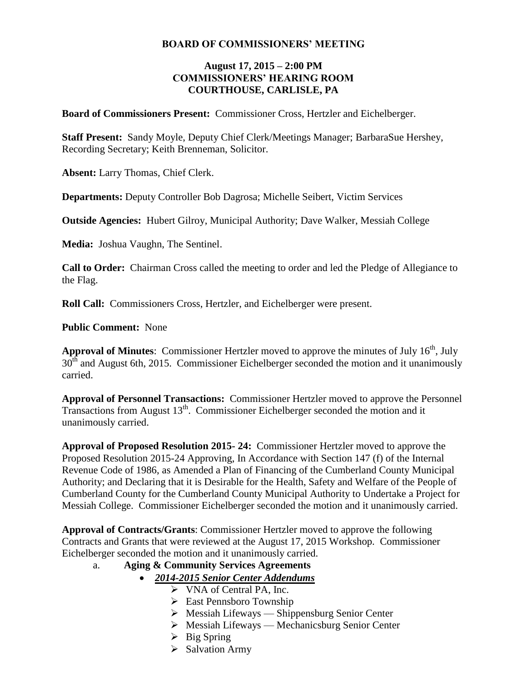#### **BOARD OF COMMISSIONERS' MEETING**

#### **August 17, 2015 – 2:00 PM COMMISSIONERS' HEARING ROOM COURTHOUSE, CARLISLE, PA**

**Board of Commissioners Present:** Commissioner Cross, Hertzler and Eichelberger.

**Staff Present:** Sandy Moyle, Deputy Chief Clerk/Meetings Manager; BarbaraSue Hershey, Recording Secretary; Keith Brenneman, Solicitor.

**Absent:** Larry Thomas, Chief Clerk.

**Departments:** Deputy Controller Bob Dagrosa; Michelle Seibert, Victim Services

**Outside Agencies:** Hubert Gilroy, Municipal Authority; Dave Walker, Messiah College

**Media:** Joshua Vaughn, The Sentinel.

**Call to Order:** Chairman Cross called the meeting to order and led the Pledge of Allegiance to the Flag.

**Roll Call:** Commissioners Cross, Hertzler, and Eichelberger were present.

**Public Comment:** None

**Approval of Minutes:** Commissioner Hertzler moved to approve the minutes of July 16<sup>th</sup>, July  $30<sup>th</sup>$  and August 6th, 2015. Commissioner Eichelberger seconded the motion and it unanimously carried.

**Approval of Personnel Transactions:** Commissioner Hertzler moved to approve the Personnel Transactions from August  $13<sup>th</sup>$ . Commissioner Eichelberger seconded the motion and it unanimously carried.

**Approval of Proposed Resolution 2015- 24:** Commissioner Hertzler moved to approve the Proposed Resolution 2015-24 Approving, In Accordance with Section 147 (f) of the Internal Revenue Code of 1986, as Amended a Plan of Financing of the Cumberland County Municipal Authority; and Declaring that it is Desirable for the Health, Safety and Welfare of the People of Cumberland County for the Cumberland County Municipal Authority to Undertake a Project for Messiah College. Commissioner Eichelberger seconded the motion and it unanimously carried.

**Approval of Contracts/Grants**: Commissioner Hertzler moved to approve the following Contracts and Grants that were reviewed at the August 17, 2015 Workshop. Commissioner Eichelberger seconded the motion and it unanimously carried.

#### a. **Aging & Community Services Agreements**

- *2014-2015 Senior Center Addendums*
	- VNA of Central PA, Inc.
	- East Pennsboro Township
	- Messiah Lifeways Shippensburg Senior Center
	- $\triangleright$  Messiah Lifeways Mechanicsburg Senior Center
	- $\triangleright$  Big Spring
	- $\triangleright$  Salvation Army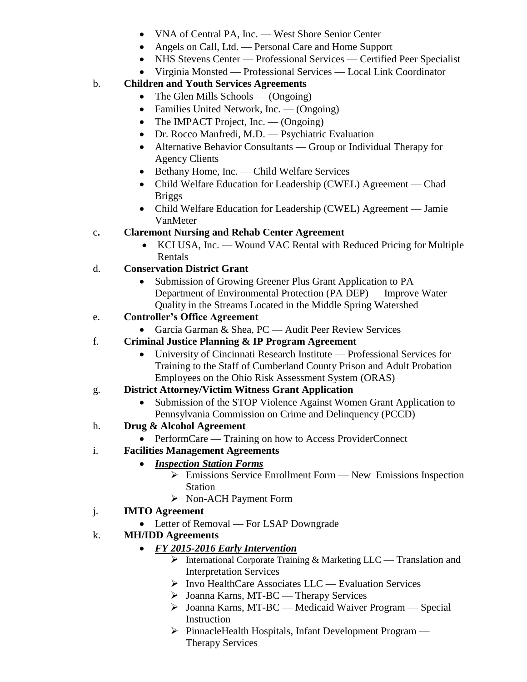- VNA of Central PA, Inc. West Shore Senior Center
- Angels on Call, Ltd. Personal Care and Home Support
- NHS Stevens Center Professional Services Certified Peer Specialist
- Virginia Monsted Professional Services Local Link Coordinator

## b. **Children and Youth Services Agreements**

- The Glen Mills Schools (Ongoing)
- Families United Network, Inc. (Ongoing)
- The IMPACT Project, Inc. (Ongoing)
- Dr. Rocco Manfredi, M.D. Psychiatric Evaluation
- Alternative Behavior Consultants Group or Individual Therapy for Agency Clients
- Bethany Home, Inc. Child Welfare Services
- Child Welfare Education for Leadership (CWEL) Agreement Chad Briggs
- Child Welfare Education for Leadership (CWEL) Agreement Jamie VanMeter

# c**. Claremont Nursing and Rehab Center Agreement**

• KCI USA, Inc. — Wound VAC Rental with Reduced Pricing for Multiple Rentals

### d. **Conservation District Grant**

 Submission of Growing Greener Plus Grant Application to PA Department of Environmental Protection (PA DEP) — Improve Water Quality in the Streams Located in the Middle Spring Watershed

# e. **Controller's Office Agreement**

• Garcia Garman & Shea, PC — Audit Peer Review Services

### f. **Criminal Justice Planning & IP Program Agreement**

 University of Cincinnati Research Institute — Professional Services for Training to the Staff of Cumberland County Prison and Adult Probation Employees on the Ohio Risk Assessment System (ORAS)

### g. **District Attorney/Victim Witness Grant Application**

• Submission of the STOP Violence Against Women Grant Application to Pennsylvania Commission on Crime and Delinquency (PCCD)

### h. **Drug & Alcohol Agreement**

• PerformCare — Training on how to Access ProviderConnect

### i. **Facilities Management Agreements**

- *Inspection Station Forms*
	- $\triangleright$  Emissions Service Enrollment Form New Emissions Inspection Station
	- Non-ACH Payment Form

### j. **IMTO Agreement**

• Letter of Removal — For LSAP Downgrade

### k. **MH/IDD Agreements**

- *FY 2015-2016 Early Intervention* 
	- $\triangleright$  International Corporate Training & Marketing LLC Translation and Interpretation Services
	- $\triangleright$  Invo HealthCare Associates LLC Evaluation Services
	- Joanna Karns, MT-BC Therapy Services
	- Joanna Karns, MT-BC Medicaid Waiver Program Special Instruction
	- PinnacleHealth Hospitals, Infant Development Program Therapy Services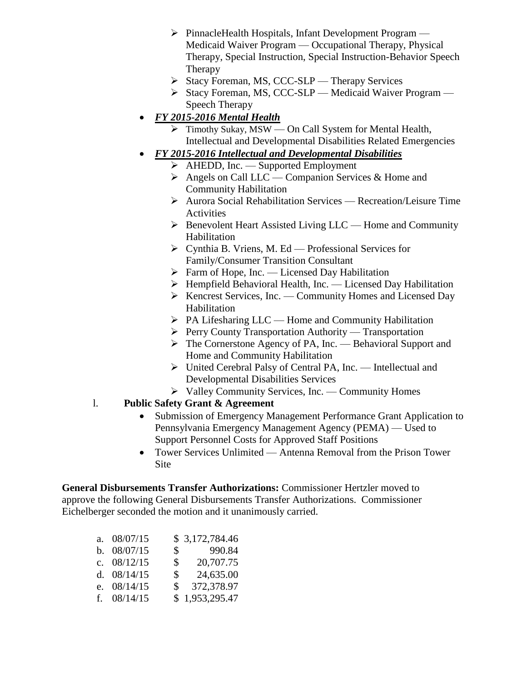- PinnacleHealth Hospitals, Infant Development Program Medicaid Waiver Program — Occupational Therapy, Physical Therapy, Special Instruction, Special Instruction-Behavior Speech **Therapy**
- $\triangleright$  Stacy Foreman, MS, CCC-SLP Therapy Services
- $\triangleright$  Stacy Foreman, MS, CCC-SLP Medicaid Waiver Program Speech Therapy

## *FY 2015-2016 Mental Health*

- Timothy Sukay, MSW On Call System for Mental Health, Intellectual and Developmental Disabilities Related Emergencies
- *FY 2015-2016 Intellectual and Developmental Disabilities*
	- $\triangleright$  AHEDD, Inc. Supported Employment
	- $\triangleright$  Angels on Call LLC Companion Services & Home and Community Habilitation
	- Aurora Social Rehabilitation Services Recreation/Leisure Time Activities
	- $\triangleright$  Benevolent Heart Assisted Living LLC Home and Community Habilitation
	- $\triangleright$  Cynthia B. Vriens, M. Ed Professional Services for Family/Consumer Transition Consultant
	- $\triangleright$  Farm of Hope, Inc. Licensed Day Habilitation
	- $\triangleright$  Hempfield Behavioral Health, Inc. Licensed Day Habilitation
	- $\triangleright$  Kencrest Services, Inc. Community Homes and Licensed Day Habilitation
	- PA Lifesharing LLC Home and Community Habilitation
	- $\triangleright$  Perry County Transportation Authority Transportation
	- The Cornerstone Agency of PA, Inc. Behavioral Support and Home and Community Habilitation
	- United Cerebral Palsy of Central PA, Inc. Intellectual and Developmental Disabilities Services
	- $\triangleright$  Valley Community Services, Inc. Community Homes
- l. **Public Safety Grant & Agreement**
	- Submission of Emergency Management Performance Grant Application to Pennsylvania Emergency Management Agency (PEMA) — Used to Support Personnel Costs for Approved Staff Positions
	- Tower Services Unlimited Antenna Removal from the Prison Tower Site

**General Disbursements Transfer Authorizations:** Commissioner Hertzler moved to approve the following General Disbursements Transfer Authorizations. Commissioner Eichelberger seconded the motion and it unanimously carried.

| a. $08/07/15$ |              | \$3,172,784.46 |
|---------------|--------------|----------------|
| b. 08/07/15   |              | \$990.84       |
| c. $08/12/15$ | $\mathbb{S}$ | 20,707.75      |
| d. $08/14/15$ | $\mathbb{S}$ | 24,635.00      |
| e. $08/14/15$ | SS.          | 372,378.97     |
| f. $08/14/15$ |              | \$1,953,295.47 |